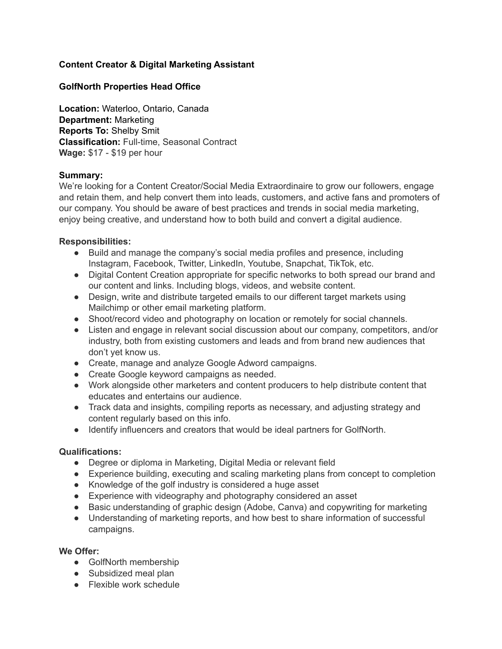# **Content Creator & Digital Marketing Assistant**

## **GolfNorth Properties Head Office**

**Location:** Waterloo, Ontario, Canada **Department:** Marketing **Reports To:** Shelby Smit **Classification:** Full-time, Seasonal Contract **Wage:** \$17 - \$19 per hour

### **Summary:**

We're looking for a Content Creator/Social Media Extraordinaire to grow our followers, engage and retain them, and help convert them into leads, customers, and active fans and promoters of our company. You should be aware of best practices and trends in social media marketing, enjoy being creative, and understand how to both build and convert a digital audience.

## **Responsibilities:**

- Build and manage the company's social media profiles and presence, including Instagram, Facebook, Twitter, LinkedIn, Youtube, Snapchat, TikTok, etc.
- Digital Content Creation appropriate for specific networks to both spread our brand and our content and links. Including blogs, videos, and website content.
- Design, write and distribute targeted emails to our different target markets using Mailchimp or other email marketing platform.
- Shoot/record video and photography on location or remotely for social channels.
- Listen and engage in relevant social discussion about our company, competitors, and/or industry, both from existing customers and leads and from brand new audiences that don't yet know us.
- Create, manage and analyze Google Adword campaigns.
- Create Google keyword campaigns as needed.
- Work alongside other marketers and content producers to help distribute content that educates and entertains our audience.
- Track data and insights, compiling reports as necessary, and adjusting strategy and content regularly based on this info.
- Identify influencers and creators that would be ideal partners for GolfNorth.

### **Qualifications:**

- Degree or diploma in Marketing, Digital Media or relevant field
- Experience building, executing and scaling marketing plans from concept to completion
- Knowledge of the golf industry is considered a huge asset
- Experience with videography and photography considered an asset
- Basic understanding of graphic design (Adobe, Canva) and copywriting for marketing
- Understanding of marketing reports, and how best to share information of successful campaigns.

### **We Offer:**

- GolfNorth membership
- Subsidized meal plan
- Flexible work schedule